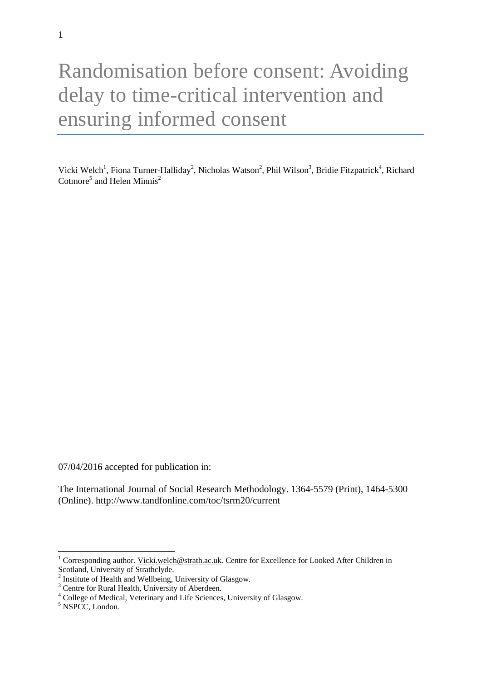# Randomisation before consent: Avoiding delay to time-critical intervention and ensuring informed consent

Vicki Welch<sup>1</sup>, Fiona Turner-Halliday<sup>2</sup>, Nicholas Watson<sup>2</sup>, Phil Wilson<sup>3</sup>, Bridie Fitzpatrick<sup>4</sup>, Richard Cotmore<sup>5</sup> and Helen Minnis<sup>2</sup>

07/04/2016 accepted for publication in:

The International Journal of Social Research Methodology. 1364-5579 (Print), 1464-5300 (Online). <http://www.tandfonline.com/toc/tsrm20/current>

 $\overline{a}$ 

<sup>&</sup>lt;sup>1</sup> Corresponding author. [Vicki.welch@strath.ac.uk.](mailto:Vicki.welch@strath.ac.uk) Centre for Excellence for Looked After Children in

Scotland, University of Strathclyde. 2 Institute of Health and Wellbeing, University of Glasgow.

<sup>&</sup>lt;sup>3</sup> Centre for Rural Health, University of Aberdeen.

<sup>4</sup> College of Medical, Veterinary and Life Sciences, University of Glasgow.

<sup>&</sup>lt;sup>5</sup> NSPCC, London.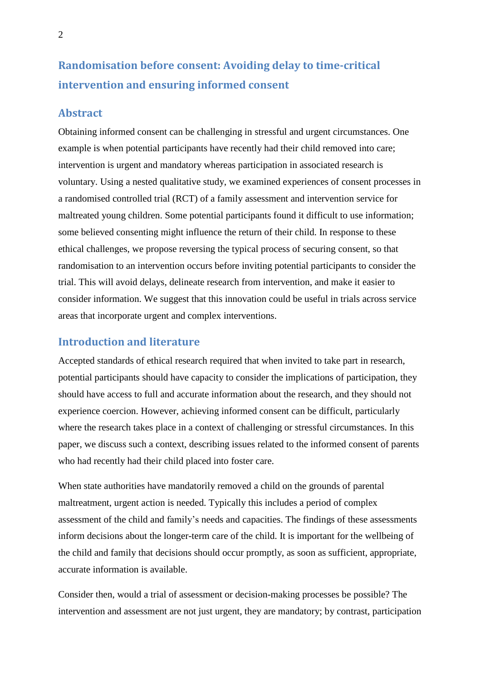## **Randomisation before consent: Avoiding delay to time-critical intervention and ensuring informed consent**

## **Abstract**

Obtaining informed consent can be challenging in stressful and urgent circumstances. One example is when potential participants have recently had their child removed into care; intervention is urgent and mandatory whereas participation in associated research is voluntary. Using a nested qualitative study, we examined experiences of consent processes in a randomised controlled trial (RCT) of a family assessment and intervention service for maltreated young children. Some potential participants found it difficult to use information; some believed consenting might influence the return of their child. In response to these ethical challenges, we propose reversing the typical process of securing consent, so that randomisation to an intervention occurs before inviting potential participants to consider the trial. This will avoid delays, delineate research from intervention, and make it easier to consider information. We suggest that this innovation could be useful in trials across service areas that incorporate urgent and complex interventions.

## **Introduction and literature**

Accepted standards of ethical research required that when invited to take part in research, potential participants should have capacity to consider the implications of participation, they should have access to full and accurate information about the research, and they should not experience coercion. However, achieving informed consent can be difficult, particularly where the research takes place in a context of challenging or stressful circumstances. In this paper, we discuss such a context, describing issues related to the informed consent of parents who had recently had their child placed into foster care.

When state authorities have mandatorily removed a child on the grounds of parental maltreatment, urgent action is needed. Typically this includes a period of complex assessment of the child and family's needs and capacities. The findings of these assessments inform decisions about the longer-term care of the child. It is important for the wellbeing of the child and family that decisions should occur promptly, as soon as sufficient, appropriate, accurate information is available.

Consider then, would a trial of assessment or decision-making processes be possible? The intervention and assessment are not just urgent, they are mandatory; by contrast, participation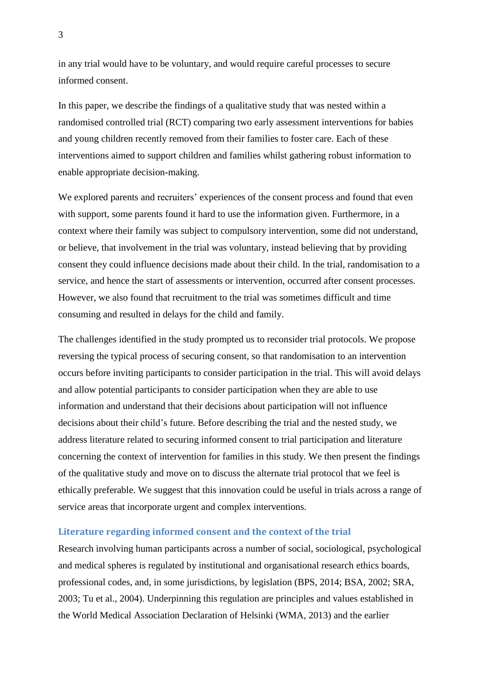in any trial would have to be voluntary, and would require careful processes to secure informed consent.

In this paper, we describe the findings of a qualitative study that was nested within a randomised controlled trial (RCT) comparing two early assessment interventions for babies and young children recently removed from their families to foster care. Each of these interventions aimed to support children and families whilst gathering robust information to enable appropriate decision-making.

We explored parents and recruiters' experiences of the consent process and found that even with support, some parents found it hard to use the information given. Furthermore, in a context where their family was subject to compulsory intervention, some did not understand, or believe, that involvement in the trial was voluntary, instead believing that by providing consent they could influence decisions made about their child. In the trial, randomisation to a service, and hence the start of assessments or intervention, occurred after consent processes. However, we also found that recruitment to the trial was sometimes difficult and time consuming and resulted in delays for the child and family.

The challenges identified in the study prompted us to reconsider trial protocols. We propose reversing the typical process of securing consent, so that randomisation to an intervention occurs before inviting participants to consider participation in the trial. This will avoid delays and allow potential participants to consider participation when they are able to use information and understand that their decisions about participation will not influence decisions about their child's future. Before describing the trial and the nested study, we address literature related to securing informed consent to trial participation and literature concerning the context of intervention for families in this study. We then present the findings of the qualitative study and move on to discuss the alternate trial protocol that we feel is ethically preferable. We suggest that this innovation could be useful in trials across a range of service areas that incorporate urgent and complex interventions.

#### **Literature regarding informed consent and the context of the trial**

Research involving human participants across a number of social, sociological, psychological and medical spheres is regulated by institutional and organisational research ethics boards, professional codes, and, in some jurisdictions, by legislation (BPS, 2014; BSA, 2002; SRA, 2003; Tu et al., 2004). Underpinning this regulation are principles and values established in the World Medical Association Declaration of Helsinki (WMA, 2013) and the earlier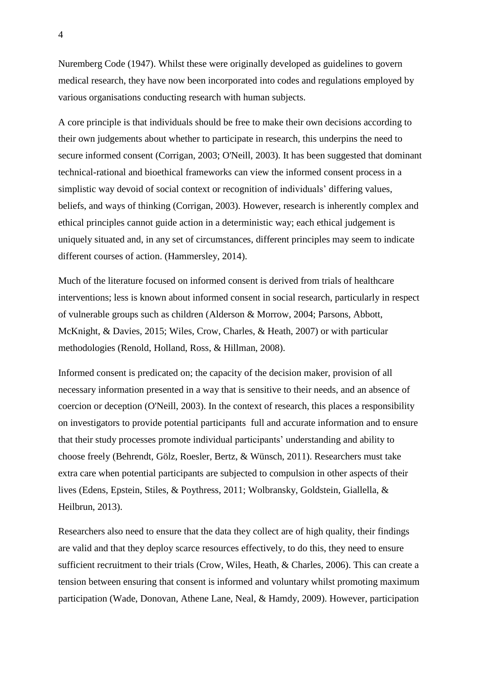Nuremberg Code (1947). Whilst these were originally developed as guidelines to govern medical research, they have now been incorporated into codes and regulations employed by various organisations conducting research with human subjects.

A core principle is that individuals should be free to make their own decisions according to their own judgements about whether to participate in research, this underpins the need to secure informed consent (Corrigan, 2003; O'Neill, 2003). It has been suggested that dominant technical-rational and bioethical frameworks can view the informed consent process in a simplistic way devoid of social context or recognition of individuals' differing values, beliefs, and ways of thinking (Corrigan, 2003). However, research is inherently complex and ethical principles cannot guide action in a deterministic way; each ethical judgement is uniquely situated and, in any set of circumstances, different principles may seem to indicate different courses of action. (Hammersley, 2014).

Much of the literature focused on informed consent is derived from trials of healthcare interventions; less is known about informed consent in social research, particularly in respect of vulnerable groups such as children (Alderson & Morrow, 2004; Parsons, Abbott, McKnight, & Davies, 2015; Wiles, Crow, Charles, & Heath, 2007) or with particular methodologies (Renold, Holland, Ross, & Hillman, 2008).

Informed consent is predicated on; the capacity of the decision maker, provision of all necessary information presented in a way that is sensitive to their needs, and an absence of coercion or deception (O'Neill, 2003). In the context of research, this places a responsibility on investigators to provide potential participants full and accurate information and to ensure that their study processes promote individual participants' understanding and ability to choose freely (Behrendt, Gölz, Roesler, Bertz, & Wünsch, 2011). Researchers must take extra care when potential participants are subjected to compulsion in other aspects of their lives (Edens, Epstein, Stiles, & Poythress, 2011; Wolbransky, Goldstein, Giallella, & Heilbrun, 2013).

Researchers also need to ensure that the data they collect are of high quality, their findings are valid and that they deploy scarce resources effectively, to do this, they need to ensure sufficient recruitment to their trials (Crow, Wiles, Heath, & Charles, 2006). This can create a tension between ensuring that consent is informed and voluntary whilst promoting maximum participation (Wade, Donovan, Athene Lane, Neal, & Hamdy, 2009). However, participation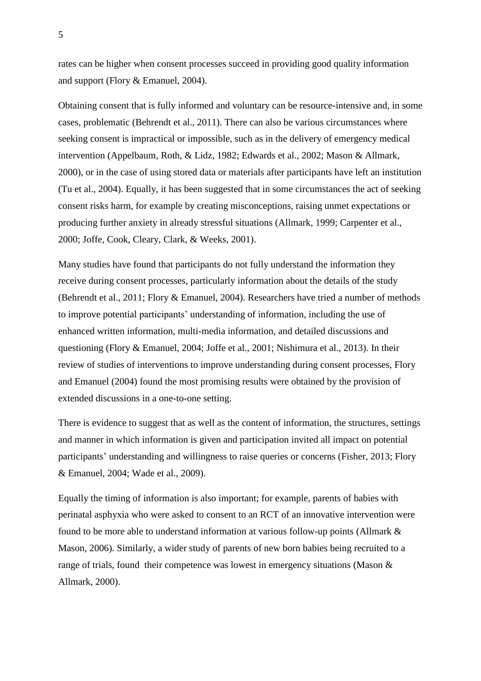rates can be higher when consent processes succeed in providing good quality information and support (Flory & Emanuel, 2004).

Obtaining consent that is fully informed and voluntary can be resource-intensive and, in some cases, problematic (Behrendt et al., 2011). There can also be various circumstances where seeking consent is impractical or impossible, such as in the delivery of emergency medical intervention (Appelbaum, Roth, & Lidz, 1982; Edwards et al., 2002; Mason & Allmark, 2000), or in the case of using stored data or materials after participants have left an institution (Tu et al., 2004). Equally, it has been suggested that in some circumstances the act of seeking consent risks harm, for example by creating misconceptions, raising unmet expectations or producing further anxiety in already stressful situations (Allmark, 1999; Carpenter et al., 2000; Joffe, Cook, Cleary, Clark, & Weeks, 2001).

Many studies have found that participants do not fully understand the information they receive during consent processes, particularly information about the details of the study (Behrendt et al., 2011; Flory & Emanuel, 2004). Researchers have tried a number of methods to improve potential participants' understanding of information, including the use of enhanced written information, multi-media information, and detailed discussions and questioning (Flory & Emanuel, 2004; Joffe et al., 2001; Nishimura et al., 2013). In their review of studies of interventions to improve understanding during consent processes, Flory and Emanuel (2004) found the most promising results were obtained by the provision of extended discussions in a one-to-one setting.

There is evidence to suggest that as well as the content of information, the structures, settings and manner in which information is given and participation invited all impact on potential participants' understanding and willingness to raise queries or concerns (Fisher, 2013; Flory & Emanuel, 2004; Wade et al., 2009).

Equally the timing of information is also important; for example, parents of babies with perinatal asphyxia who were asked to consent to an RCT of an innovative intervention were found to be more able to understand information at various follow-up points (Allmark & Mason, 2006). Similarly, a wider study of parents of new born babies being recruited to a range of trials, found their competence was lowest in emergency situations (Mason & Allmark, 2000).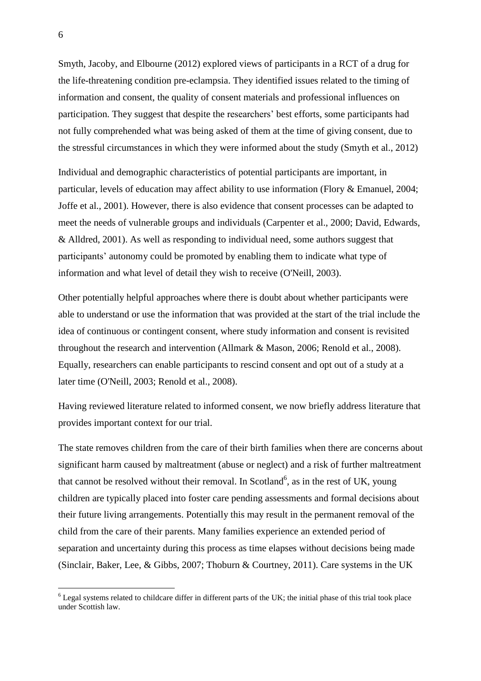Smyth, Jacoby, and Elbourne (2012) explored views of participants in a RCT of a drug for the life-threatening condition pre-eclampsia. They identified issues related to the timing of information and consent, the quality of consent materials and professional influences on participation. They suggest that despite the researchers' best efforts, some participants had not fully comprehended what was being asked of them at the time of giving consent, due to the stressful circumstances in which they were informed about the study (Smyth et al., 2012)

Individual and demographic characteristics of potential participants are important, in particular, levels of education may affect ability to use information (Flory & Emanuel, 2004; Joffe et al., 2001). However, there is also evidence that consent processes can be adapted to meet the needs of vulnerable groups and individuals (Carpenter et al., 2000; David, Edwards, & Alldred, 2001). As well as responding to individual need, some authors suggest that participants' autonomy could be promoted by enabling them to indicate what type of information and what level of detail they wish to receive (O'Neill, 2003).

Other potentially helpful approaches where there is doubt about whether participants were able to understand or use the information that was provided at the start of the trial include the idea of continuous or contingent consent, where study information and consent is revisited throughout the research and intervention (Allmark & Mason, 2006; Renold et al., 2008). Equally, researchers can enable participants to rescind consent and opt out of a study at a later time (O'Neill, 2003; Renold et al., 2008).

Having reviewed literature related to informed consent, we now briefly address literature that provides important context for our trial.

The state removes children from the care of their birth families when there are concerns about significant harm caused by maltreatment (abuse or neglect) and a risk of further maltreatment that cannot be resolved without their removal. In Scotland<sup>6</sup>, as in the rest of UK, young children are typically placed into foster care pending assessments and formal decisions about their future living arrangements. Potentially this may result in the permanent removal of the child from the care of their parents. Many families experience an extended period of separation and uncertainty during this process as time elapses without decisions being made (Sinclair, Baker, Lee, & Gibbs, 2007; Thoburn & Courtney, 2011). Care systems in the UK

 $\overline{a}$ 

 $6$  Legal systems related to childcare differ in different parts of the UK; the initial phase of this trial took place under Scottish law.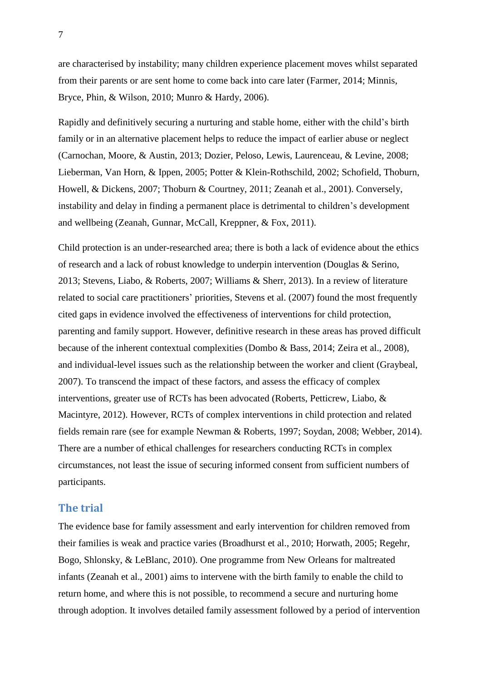are characterised by instability; many children experience placement moves whilst separated from their parents or are sent home to come back into care later (Farmer, 2014; Minnis, Bryce, Phin, & Wilson, 2010; Munro & Hardy, 2006).

Rapidly and definitively securing a nurturing and stable home, either with the child's birth family or in an alternative placement helps to reduce the impact of earlier abuse or neglect (Carnochan, Moore, & Austin, 2013; Dozier, Peloso, Lewis, Laurenceau, & Levine, 2008; Lieberman, Van Horn, & Ippen, 2005; Potter & Klein-Rothschild, 2002; Schofield, Thoburn, Howell, & Dickens, 2007; Thoburn & Courtney, 2011; Zeanah et al., 2001). Conversely, instability and delay in finding a permanent place is detrimental to children's development and wellbeing (Zeanah, Gunnar, McCall, Kreppner, & Fox, 2011).

Child protection is an under-researched area; there is both a lack of evidence about the ethics of research and a lack of robust knowledge to underpin intervention (Douglas & Serino, 2013; Stevens, Liabo, & Roberts, 2007; Williams & Sherr, 2013). In a review of literature related to social care practitioners' priorities, Stevens et al. (2007) found the most frequently cited gaps in evidence involved the effectiveness of interventions for child protection, parenting and family support. However, definitive research in these areas has proved difficult because of the inherent contextual complexities (Dombo & Bass, 2014; Zeira et al., 2008), and individual-level issues such as the relationship between the worker and client (Graybeal, 2007). To transcend the impact of these factors, and assess the efficacy of complex interventions, greater use of RCTs has been advocated (Roberts, Petticrew, Liabo, & Macintyre, 2012). However, RCTs of complex interventions in child protection and related fields remain rare (see for example Newman & Roberts, 1997; Soydan, 2008; Webber, 2014). There are a number of ethical challenges for researchers conducting RCTs in complex circumstances, not least the issue of securing informed consent from sufficient numbers of participants.

#### **The trial**

The evidence base for family assessment and early intervention for children removed from their families is weak and practice varies (Broadhurst et al., 2010; Horwath, 2005; Regehr, Bogo, Shlonsky, & LeBlanc, 2010). One programme from New Orleans for maltreated infants (Zeanah et al., 2001) aims to intervene with the birth family to enable the child to return home, and where this is not possible, to recommend a secure and nurturing home through adoption. It involves detailed family assessment followed by a period of intervention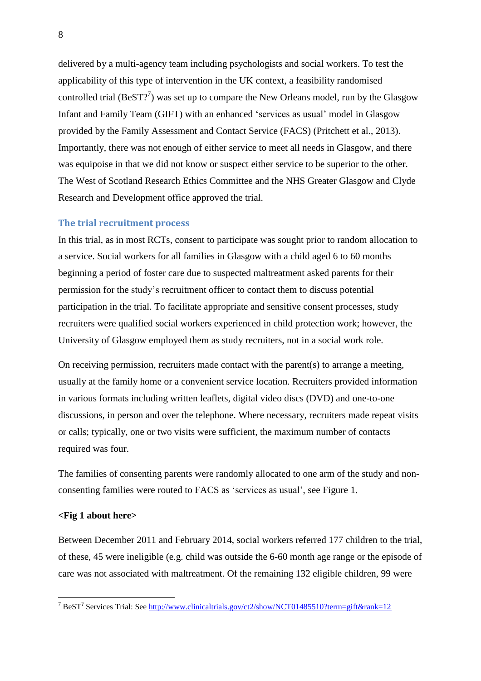delivered by a multi-agency team including psychologists and social workers. To test the applicability of this type of intervention in the UK context, a feasibility randomised controlled trial (BeST?<sup>7</sup>) was set up to compare the New Orleans model, run by the Glasgow Infant and Family Team (GIFT) with an enhanced 'services as usual' model in Glasgow provided by the Family Assessment and Contact Service (FACS) (Pritchett et al., 2013). Importantly, there was not enough of either service to meet all needs in Glasgow, and there was equipoise in that we did not know or suspect either service to be superior to the other. The West of Scotland Research Ethics Committee and the NHS Greater Glasgow and Clyde Research and Development office approved the trial.

#### **The trial recruitment process**

In this trial, as in most RCTs, consent to participate was sought prior to random allocation to a service. Social workers for all families in Glasgow with a child aged 6 to 60 months beginning a period of foster care due to suspected maltreatment asked parents for their permission for the study's recruitment officer to contact them to discuss potential participation in the trial. To facilitate appropriate and sensitive consent processes, study recruiters were qualified social workers experienced in child protection work; however, the University of Glasgow employed them as study recruiters, not in a social work role.

On receiving permission, recruiters made contact with the parent(s) to arrange a meeting, usually at the family home or a convenient service location. Recruiters provided information in various formats including written leaflets, digital video discs (DVD) and one-to-one discussions, in person and over the telephone. Where necessary, recruiters made repeat visits or calls; typically, one or two visits were sufficient, the maximum number of contacts required was four.

The families of consenting parents were randomly allocated to one arm of the study and nonconsenting families were routed to FACS as 'services as usual', see Figure 1.

#### **<Fig 1 about here>**

 $\overline{a}$ 

Between December 2011 and February 2014, social workers referred 177 children to the trial, of these, 45 were ineligible (e.g. child was outside the 6-60 month age range or the episode of care was not associated with maltreatment. Of the remaining 132 eligible children, 99 were

<sup>&</sup>lt;sup>7</sup> BeST<sup>?</sup> Services Trial: See <http://www.clinicaltrials.gov/ct2/show/NCT01485510?term=gift&rank=12>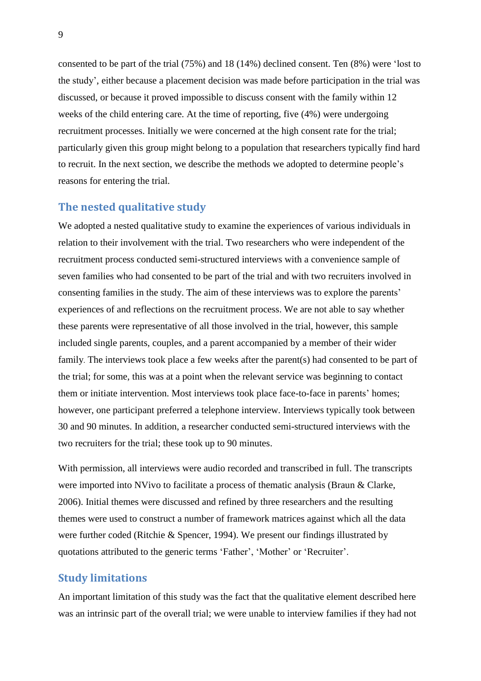consented to be part of the trial (75%) and 18 (14%) declined consent. Ten (8%) were 'lost to the study', either because a placement decision was made before participation in the trial was discussed, or because it proved impossible to discuss consent with the family within 12 weeks of the child entering care. At the time of reporting, five (4%) were undergoing recruitment processes. Initially we were concerned at the high consent rate for the trial; particularly given this group might belong to a population that researchers typically find hard to recruit. In the next section, we describe the methods we adopted to determine people's reasons for entering the trial.

## **The nested qualitative study**

We adopted a nested qualitative study to examine the experiences of various individuals in relation to their involvement with the trial. Two researchers who were independent of the recruitment process conducted semi-structured interviews with a convenience sample of seven families who had consented to be part of the trial and with two recruiters involved in consenting families in the study. The aim of these interviews was to explore the parents' experiences of and reflections on the recruitment process. We are not able to say whether these parents were representative of all those involved in the trial, however, this sample included single parents, couples, and a parent accompanied by a member of their wider family. The interviews took place a few weeks after the parent(s) had consented to be part of the trial; for some, this was at a point when the relevant service was beginning to contact them or initiate intervention. Most interviews took place face-to-face in parents' homes; however, one participant preferred a telephone interview. Interviews typically took between 30 and 90 minutes. In addition, a researcher conducted semi-structured interviews with the two recruiters for the trial; these took up to 90 minutes.

With permission, all interviews were audio recorded and transcribed in full. The transcripts were imported into NVivo to facilitate a process of thematic analysis (Braun & Clarke, 2006). Initial themes were discussed and refined by three researchers and the resulting themes were used to construct a number of framework matrices against which all the data were further coded (Ritchie & Spencer, 1994). We present our findings illustrated by quotations attributed to the generic terms 'Father', 'Mother' or 'Recruiter'.

## **Study limitations**

An important limitation of this study was the fact that the qualitative element described here was an intrinsic part of the overall trial; we were unable to interview families if they had not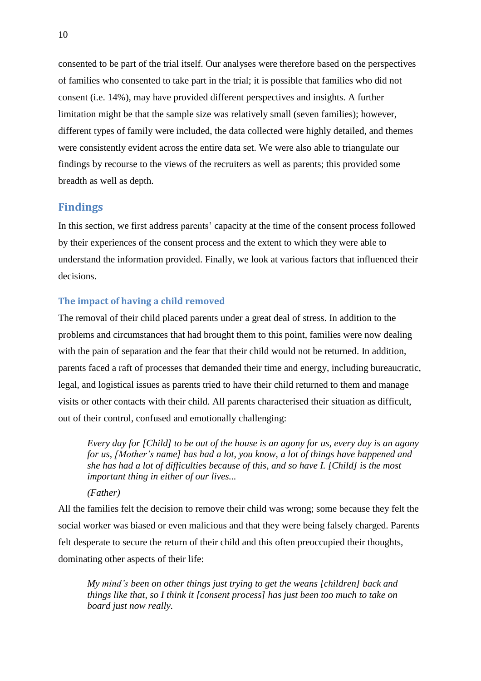consented to be part of the trial itself. Our analyses were therefore based on the perspectives of families who consented to take part in the trial; it is possible that families who did not consent (i.e. 14%), may have provided different perspectives and insights. A further limitation might be that the sample size was relatively small (seven families); however, different types of family were included, the data collected were highly detailed, and themes were consistently evident across the entire data set. We were also able to triangulate our findings by recourse to the views of the recruiters as well as parents; this provided some breadth as well as depth.

## **Findings**

In this section, we first address parents' capacity at the time of the consent process followed by their experiences of the consent process and the extent to which they were able to understand the information provided. Finally, we look at various factors that influenced their decisions.

## **The impact of having a child removed**

The removal of their child placed parents under a great deal of stress. In addition to the problems and circumstances that had brought them to this point, families were now dealing with the pain of separation and the fear that their child would not be returned. In addition, parents faced a raft of processes that demanded their time and energy, including bureaucratic, legal, and logistical issues as parents tried to have their child returned to them and manage visits or other contacts with their child. All parents characterised their situation as difficult, out of their control, confused and emotionally challenging:

Every day for [Child] to be out of the house is an agony for us, every day is an agony *for us, [Mother's name] has had a lot, you know, a lot of things have happened and she has had a lot of difficulties because of this, and so have I. [Child] is the most important thing in either of our lives...*

#### *(Father)*

All the families felt the decision to remove their child was wrong; some because they felt the social worker was biased or even malicious and that they were being falsely charged. Parents felt desperate to secure the return of their child and this often preoccupied their thoughts, dominating other aspects of their life:

*My mind's been on other things just trying to get the weans [children] back and things like that, so I think it [consent process] has just been too much to take on board just now really.*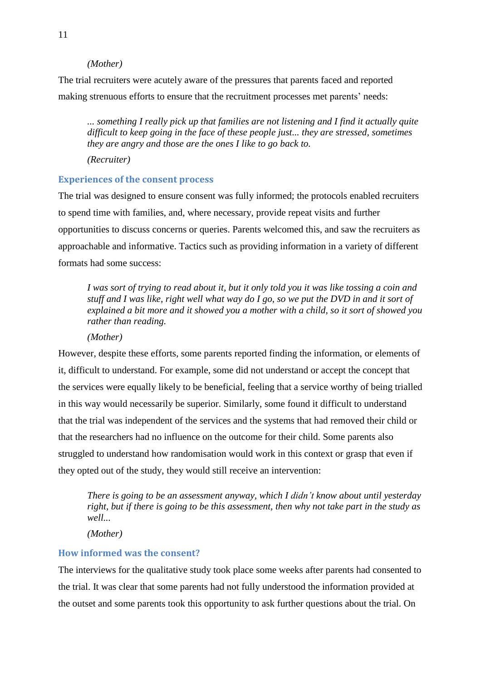#### *(Mother)*

The trial recruiters were acutely aware of the pressures that parents faced and reported making strenuous efforts to ensure that the recruitment processes met parents' needs:

*... something I really pick up that families are not listening and I find it actually quite difficult to keep going in the face of these people just... they are stressed, sometimes they are angry and those are the ones I like to go back to.*

*(Recruiter)*

## **Experiences of the consent process**

The trial was designed to ensure consent was fully informed; the protocols enabled recruiters to spend time with families, and, where necessary, provide repeat visits and further opportunities to discuss concerns or queries. Parents welcomed this, and saw the recruiters as approachable and informative. Tactics such as providing information in a variety of different formats had some success:

I was sort of trying to read about it, but it only told you it was like tossing a coin and stuff and I was like, right well what way do I go, so we put the DVD in and it sort of *explained a bit more and it showed you a mother with a child, so it sort of showed you rather than reading.*

*(Mother)*

However, despite these efforts, some parents reported finding the information, or elements of it, difficult to understand. For example, some did not understand or accept the concept that the services were equally likely to be beneficial, feeling that a service worthy of being trialled in this way would necessarily be superior. Similarly, some found it difficult to understand that the trial was independent of the services and the systems that had removed their child or that the researchers had no influence on the outcome for their child. Some parents also struggled to understand how randomisation would work in this context or grasp that even if they opted out of the study, they would still receive an intervention:

*There is going to be an assessment anyway, which I didn't know about until yesterday right, but if there is going to be this assessment, then why not take part in the study as well...*

*(Mother)*

## **How informed was the consent?**

The interviews for the qualitative study took place some weeks after parents had consented to the trial. It was clear that some parents had not fully understood the information provided at the outset and some parents took this opportunity to ask further questions about the trial. On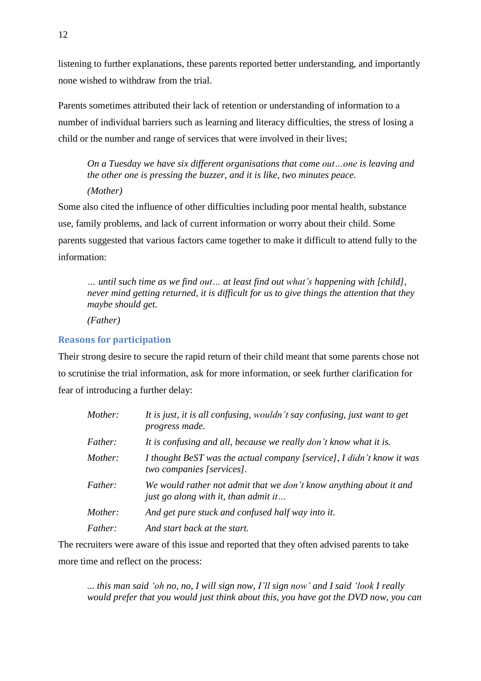listening to further explanations, these parents reported better understanding, and importantly none wished to withdraw from the trial.

Parents sometimes attributed their lack of retention or understanding of information to a number of individual barriers such as learning and literacy difficulties, the stress of losing a child or the number and range of services that were involved in their lives;

*On a Tuesday we have six different organisations that come out…one is leaving and the other one is pressing the buzzer, and it is like, two minutes peace. (Mother)*

Some also cited the influence of other difficulties including poor mental health, substance use, family problems, and lack of current information or worry about their child. Some parents suggested that various factors came together to make it difficult to attend fully to the information:

*… until such time as we find out… at least find out what's happening with [child], never mind getting returned, it is difficult for us to give things the attention that they maybe should get.*

*(Father)*

#### **Reasons for participation**

Their strong desire to secure the rapid return of their child meant that some parents chose not to scrutinise the trial information, ask for more information, or seek further clarification for fear of introducing a further delay:

| It is just, it is all confusing, wouldn't say confusing, just want to get<br>Mother:<br>progress made.                |  |
|-----------------------------------------------------------------------------------------------------------------------|--|
| Father:<br>It is confusing and all, because we really don't know what it is.                                          |  |
| Mother:<br>I thought BeST was the actual company [service], I didn't know it was<br>two companies [services].         |  |
| Father:<br>We would rather not admit that we don't know anything about it and<br>just go along with it, than admit it |  |
| Mother:<br>And get pure stuck and confused half way into it.                                                          |  |
| Father:<br>And start back at the start.                                                                               |  |

The recruiters were aware of this issue and reported that they often advised parents to take more time and reflect on the process:

... this man said 'oh no, no, I will sign now, I'll sign now' and I said 'look I really *would prefer that you would just think about this, you have got the DVD now, you can*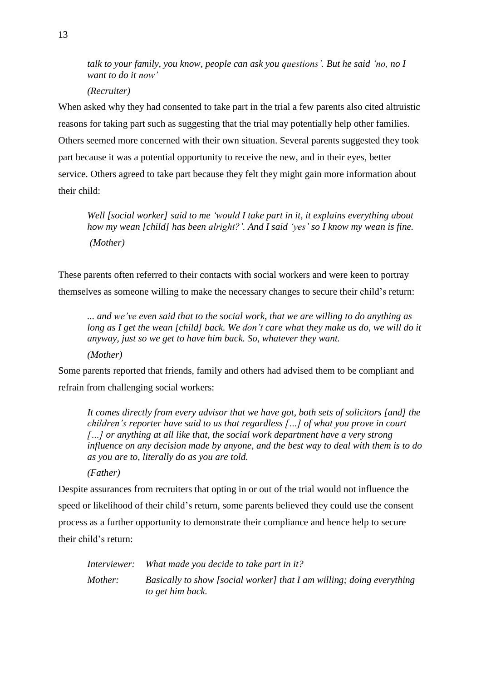*talk to your family, you know, people can ask you questions'. But he said 'no, no I want to do it now'*

*(Recruiter)*

When asked why they had consented to take part in the trial a few parents also cited altruistic reasons for taking part such as suggesting that the trial may potentially help other families. Others seemed more concerned with their own situation. Several parents suggested they took part because it was a potential opportunity to receive the new, and in their eyes, better service. Others agreed to take part because they felt they might gain more information about their child:

*Well [social worker] said to me 'would I take part in it, it explains everything about how my wean [child] has been alright?'. And I said 'yes' so I know my wean is fine. (Mother)*

These parents often referred to their contacts with social workers and were keen to portray themselves as someone willing to make the necessary changes to secure their child's return:

*... and we've even said that to the social work, that we are willing to do anything as* long as I get the wean [child] back. We don't care what they make us do, we will do it *anyway, just so we get to have him back. So, whatever they want.*

*(Mother)*

Some parents reported that friends, family and others had advised them to be compliant and refrain from challenging social workers:

*It comes directly from every advisor that we have got, both sets of solicitors [and] the children's reporter have said to us that regardless […] of what you prove in court […] or anything at all like that, the social work department have a very strong influence on any decision made by anyone, and the best way to deal with them is to do as you are to, literally do as you are told.*

*(Father)*

Despite assurances from recruiters that opting in or out of the trial would not influence the speed or likelihood of their child's return, some parents believed they could use the consent process as a further opportunity to demonstrate their compliance and hence help to secure their child's return:

*Interviewer: What made you decide to take part in it? Mother: Basically to show [social worker] that I am willing; doing everything to get him back.*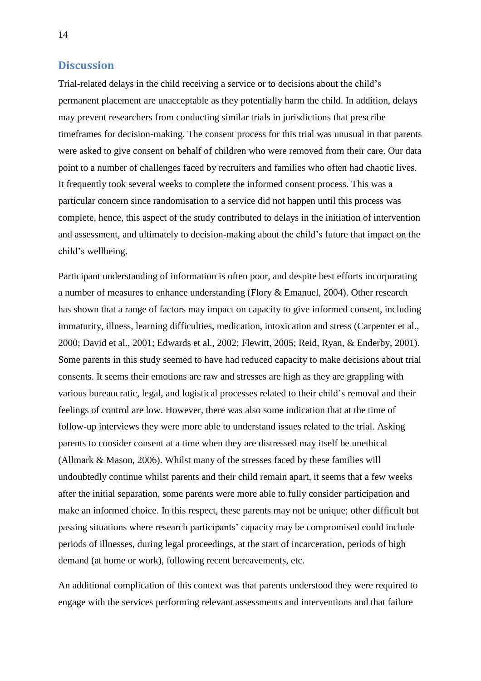## **Discussion**

Trial-related delays in the child receiving a service or to decisions about the child's permanent placement are unacceptable as they potentially harm the child. In addition, delays may prevent researchers from conducting similar trials in jurisdictions that prescribe timeframes for decision-making. The consent process for this trial was unusual in that parents were asked to give consent on behalf of children who were removed from their care. Our data point to a number of challenges faced by recruiters and families who often had chaotic lives. It frequently took several weeks to complete the informed consent process. This was a particular concern since randomisation to a service did not happen until this process was complete, hence, this aspect of the study contributed to delays in the initiation of intervention and assessment, and ultimately to decision-making about the child's future that impact on the child's wellbeing.

Participant understanding of information is often poor, and despite best efforts incorporating a number of measures to enhance understanding (Flory & Emanuel, 2004). Other research has shown that a range of factors may impact on capacity to give informed consent, including immaturity, illness, learning difficulties, medication, intoxication and stress (Carpenter et al., 2000; David et al., 2001; Edwards et al., 2002; Flewitt, 2005; Reid, Ryan, & Enderby, 2001). Some parents in this study seemed to have had reduced capacity to make decisions about trial consents. It seems their emotions are raw and stresses are high as they are grappling with various bureaucratic, legal, and logistical processes related to their child's removal and their feelings of control are low. However, there was also some indication that at the time of follow-up interviews they were more able to understand issues related to the trial. Asking parents to consider consent at a time when they are distressed may itself be unethical (Allmark & Mason, 2006). Whilst many of the stresses faced by these families will undoubtedly continue whilst parents and their child remain apart, it seems that a few weeks after the initial separation, some parents were more able to fully consider participation and make an informed choice. In this respect, these parents may not be unique; other difficult but passing situations where research participants' capacity may be compromised could include periods of illnesses, during legal proceedings, at the start of incarceration, periods of high demand (at home or work), following recent bereavements, etc.

An additional complication of this context was that parents understood they were required to engage with the services performing relevant assessments and interventions and that failure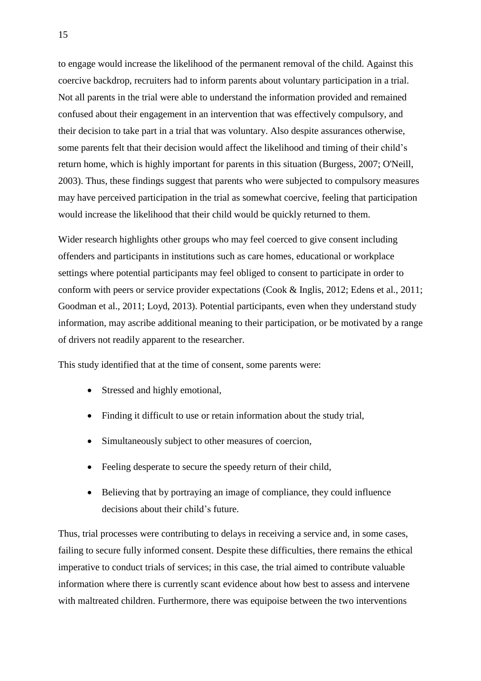to engage would increase the likelihood of the permanent removal of the child. Against this coercive backdrop, recruiters had to inform parents about voluntary participation in a trial. Not all parents in the trial were able to understand the information provided and remained confused about their engagement in an intervention that was effectively compulsory, and their decision to take part in a trial that was voluntary. Also despite assurances otherwise, some parents felt that their decision would affect the likelihood and timing of their child's return home, which is highly important for parents in this situation (Burgess, 2007; O'Neill, 2003). Thus, these findings suggest that parents who were subjected to compulsory measures may have perceived participation in the trial as somewhat coercive, feeling that participation would increase the likelihood that their child would be quickly returned to them.

Wider research highlights other groups who may feel coerced to give consent including offenders and participants in institutions such as care homes, educational or workplace settings where potential participants may feel obliged to consent to participate in order to conform with peers or service provider expectations (Cook & Inglis, 2012; Edens et al., 2011; Goodman et al., 2011; Loyd, 2013). Potential participants, even when they understand study information, may ascribe additional meaning to their participation, or be motivated by a range of drivers not readily apparent to the researcher.

This study identified that at the time of consent, some parents were:

- Stressed and highly emotional,
- Finding it difficult to use or retain information about the study trial,
- Simultaneously subject to other measures of coercion,
- Feeling desperate to secure the speedy return of their child,
- Believing that by portraying an image of compliance, they could influence decisions about their child's future.

Thus, trial processes were contributing to delays in receiving a service and, in some cases, failing to secure fully informed consent. Despite these difficulties, there remains the ethical imperative to conduct trials of services; in this case, the trial aimed to contribute valuable information where there is currently scant evidence about how best to assess and intervene with maltreated children. Furthermore, there was equipoise between the two interventions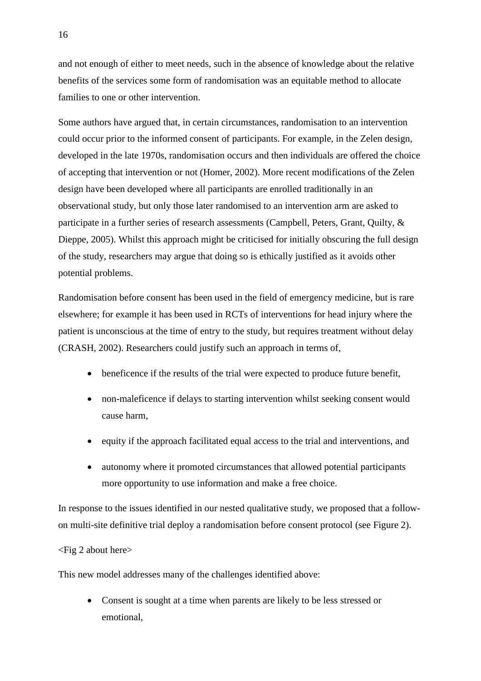and not enough of either to meet needs, such in the absence of knowledge about the relative benefits of the services some form of randomisation was an equitable method to allocate families to one or other intervention.

Some authors have argued that, in certain circumstances, randomisation to an intervention could occur prior to the informed consent of participants. For example, in the Zelen design, developed in the late 1970s, randomisation occurs and then individuals are offered the choice of accepting that intervention or not (Homer, 2002). More recent modifications of the Zelen design have been developed where all participants are enrolled traditionally in an observational study, but only those later randomised to an intervention arm are asked to participate in a further series of research assessments (Campbell, Peters, Grant, Quilty, & Dieppe, 2005). Whilst this approach might be criticised for initially obscuring the full design of the study, researchers may argue that doing so is ethically justified as it avoids other potential problems.

Randomisation before consent has been used in the field of emergency medicine, but is rare elsewhere; for example it has been used in RCTs of interventions for head injury where the patient is unconscious at the time of entry to the study, but requires treatment without delay (CRASH, 2002). Researchers could justify such an approach in terms of,

- beneficence if the results of the trial were expected to produce future benefit,
- non-maleficence if delays to starting intervention whilst seeking consent would cause harm,
- equity if the approach facilitated equal access to the trial and interventions, and
- autonomy where it promoted circumstances that allowed potential participants more opportunity to use information and make a free choice.

In response to the issues identified in our nested qualitative study, we proposed that a followon multi-site definitive trial deploy a randomisation before consent protocol (see Figure 2).

<Fig 2 about here>

This new model addresses many of the challenges identified above:

• Consent is sought at a time when parents are likely to be less stressed or emotional,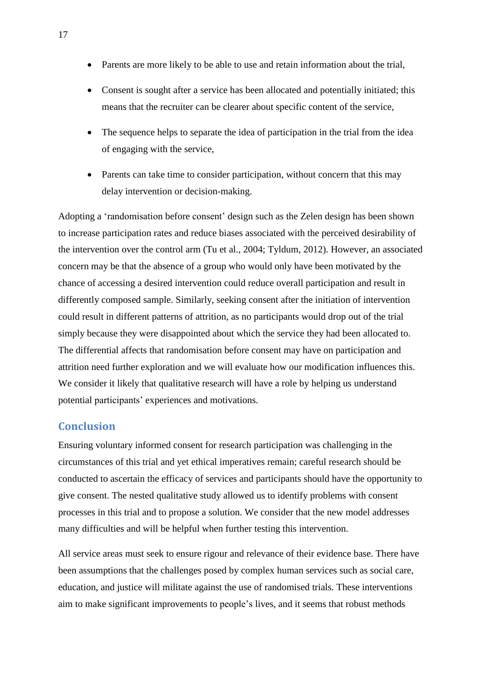- Parents are more likely to be able to use and retain information about the trial,
- Consent is sought after a service has been allocated and potentially initiated; this means that the recruiter can be clearer about specific content of the service,
- The sequence helps to separate the idea of participation in the trial from the idea of engaging with the service,
- Parents can take time to consider participation, without concern that this may delay intervention or decision-making.

Adopting a 'randomisation before consent' design such as the Zelen design has been shown to increase participation rates and reduce biases associated with the perceived desirability of the intervention over the control arm (Tu et al., 2004; Tyldum, 2012). However, an associated concern may be that the absence of a group who would only have been motivated by the chance of accessing a desired intervention could reduce overall participation and result in differently composed sample. Similarly, seeking consent after the initiation of intervention could result in different patterns of attrition, as no participants would drop out of the trial simply because they were disappointed about which the service they had been allocated to. The differential affects that randomisation before consent may have on participation and attrition need further exploration and we will evaluate how our modification influences this. We consider it likely that qualitative research will have a role by helping us understand potential participants' experiences and motivations.

## **Conclusion**

Ensuring voluntary informed consent for research participation was challenging in the circumstances of this trial and yet ethical imperatives remain; careful research should be conducted to ascertain the efficacy of services and participants should have the opportunity to give consent. The nested qualitative study allowed us to identify problems with consent processes in this trial and to propose a solution. We consider that the new model addresses many difficulties and will be helpful when further testing this intervention.

All service areas must seek to ensure rigour and relevance of their evidence base. There have been assumptions that the challenges posed by complex human services such as social care, education, and justice will militate against the use of randomised trials. These interventions aim to make significant improvements to people's lives, and it seems that robust methods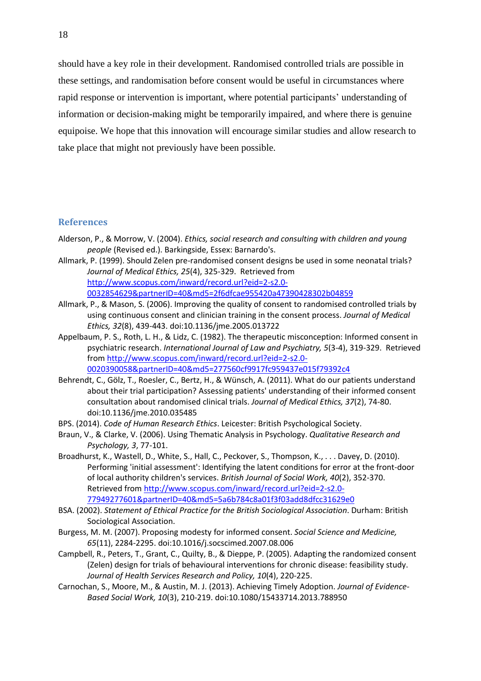should have a key role in their development. Randomised controlled trials are possible in these settings, and randomisation before consent would be useful in circumstances where rapid response or intervention is important, where potential participants' understanding of information or decision-making might be temporarily impaired, and where there is genuine equipoise. We hope that this innovation will encourage similar studies and allow research to take place that might not previously have been possible.

#### **References**

- Alderson, P., & Morrow, V. (2004). *Ethics, social research and [consulting](http://www.scopus.com/inward/record.url?eid=2-s2.0-0032854629&partnerID=40&md5=2f6dfcae955420a47390428302b04859) with children and young people* (Revised ed.). [Barkingside,](http://www.scopus.com/inward/record.url?eid=2-s2.0-0032854629&partnerID=40&md5=2f6dfcae955420a47390428302b04859) Essex: Barnardo's.
- Allmark, P. (1999). Should Zelen [pre-randomised](http://www.scopus.com/inward/record.url?eid=2-s2.0-0032854629&partnerID=40&md5=2f6dfcae955420a47390428302b04859) consent designs be used in some neonatal trials? *Journal of Medical Ethics, 25*(4), [325-329. Retrieved](http://www.scopus.com/inward/record.url?eid=2-s2.0-0032854629&partnerID=40&md5=2f6dfcae955420a47390428302b04859) from [http://www.scopus.com/inward/record.url?eid=2-s2.0-](http://www.scopus.com/inward/record.url?eid=2-s2.0-0032854629&partnerID=40&md5=2f6dfcae955420a47390428302b04859) [0032854629&partnerID=40&md5=2f6dfcae955420a47390428302b04859](http://www.scopus.com/inward/record.url?eid=2-s2.0-0032854629&partnerID=40&md5=2f6dfcae955420a47390428302b04859)
- Allmark, P., & Mason, S. (2006). Improving the quality of consent to randomised controlled trials by using continuous consent and clinician training in the consent process. *Journal of Medical Ethics, 32*(8), 439-443. doi:10.1136/jme.2005.013722
- Appelbaum, P. S., Roth, L. H., & Lidz, C. (1982). The therapeutic misconception: Informed consent in psychiatric research. *International Journal of Law and Psychiatry, 5*(3-4), 319-329. Retrieved from [http://www.scopus.com/inward/record.url?eid=2-s2.0-](http://www.scopus.com/inward/record.url?eid=2-s2.0-0020390058&partnerID=40&md5=277560cf9917fc959437e015f79392c4) [0020390058&partnerID=40&md5=277560cf9917fc959437e015f79392c4](http://www.scopus.com/inward/record.url?eid=2-s2.0-0020390058&partnerID=40&md5=277560cf9917fc959437e015f79392c4)
- Behrendt, C., Gölz, T., Roesler, C., Bertz, H., & Wünsch, A. (2011). What do our patients understand about their trial participation? Assessing patients' understanding of their informed consent consultation about randomised clinical trials. *Journal of Medical Ethics, 37*(2), 74-80. doi:10.1136/jme.2010.035485
- BPS. (2014). *Code of Human Research Ethics*. Leicester: British Psychological Society.
- Braun, V., & Clarke, V. (2006). Using Thematic Analysis in Psychology. *Qualitative Research and Psychology, 3*, 77-101.
- Broadhurst, K., Wastell, D., White, S., Hall, C., Peckover, S., Thompson, K., . . . Davey, D. (2010). Performing 'initial assessment': Identifying the latent conditions for error at the front-door of local authority children's services. *British Journal of Social Work, 40*(2), 352-370. Retrieved from [http://www.scopus.com/inward/record.url?eid=2-s2.0-](http://www.scopus.com/inward/record.url?eid=2-s2.0-77949277601&partnerID=40&md5=5a6b784c8a01f3f03add8dfcc31629e0) [77949277601&partnerID=40&md5=5a6b784c8a01f3f03add8dfcc31629e0](http://www.scopus.com/inward/record.url?eid=2-s2.0-77949277601&partnerID=40&md5=5a6b784c8a01f3f03add8dfcc31629e0)
- BSA. (2002). *Statement of Ethical Practice for the British Sociological Association*. Durham: British Sociological Association.
- Burgess, M. M. (2007). Proposing modesty for informed consent. *Social Science and Medicine, 65*(11), 2284-2295. doi:10.1016/j.socscimed.2007.08.006
- Campbell, R., Peters, T., Grant, C., Quilty, B., & Dieppe, P. (2005). Adapting the randomized consent (Zelen) design for trials of behavioural interventions for chronic disease: feasibility study. *Journal of Health Services Research and Policy, 10*(4), 220-225.
- Carnochan, S., Moore, M., & Austin, M. J. (2013). Achieving Timely Adoption. *Journal of Evidence-Based Social Work, 10*(3), 210-219. doi:10.1080/15433714.2013.788950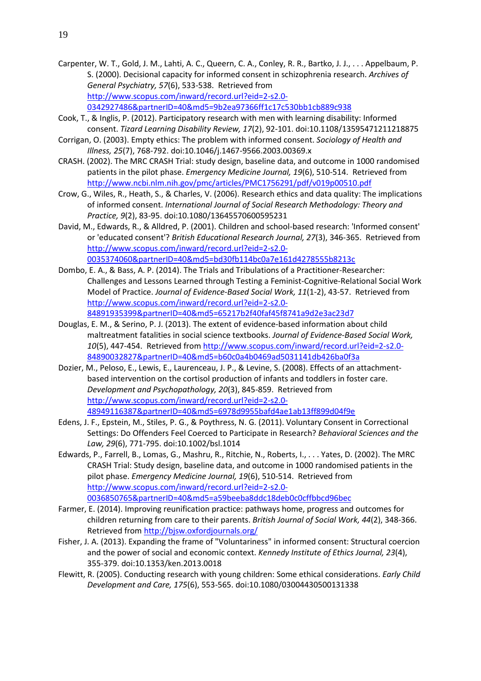- Carpenter, W. T., Gold, J. M., Lahti, A. C., Queern, C. A., Conley, R. R., Bartko, J. J., . . . Appelbaum, P. S. (2000). Decisional capacity for informed consent in schizophrenia research. *Archives of General Psychiatry, 57*(6), 533-538. Retrieved from [http://www.scopus.com/inward/record.url?eid=2-s2.0-](http://www.scopus.com/inward/record.url?eid=2-s2.0-0342927486&partnerID=40&md5=9b2ea97366ff1c17c530bb1cb889c938) [0342927486&partnerID=40&md5=9b2ea97366ff1c17c530bb1cb889c938](http://www.scopus.com/inward/record.url?eid=2-s2.0-0342927486&partnerID=40&md5=9b2ea97366ff1c17c530bb1cb889c938)
- Cook, T., & Inglis, P. (2012). Participatory research with men with learning disability: Informed consent. *Tizard Learning Disability Review, 17*(2), 92-101. doi:10.1108/13595471211218875
- Corrigan, O. (2003). Empty ethics: The problem with informed consent. *Sociology of Health and Illness, 25*(7), 768-792. doi:10.1046/j.1467-9566.2003.00369.x
- CRASH. (2002). The MRC CRASH Trial: study design, baseline data, and outcome in 1000 randomised patients in the pilot phase. *Emergency Medicine Journal, 19*(6), 510-514. Retrieved from <http://www.ncbi.nlm.nih.gov/pmc/articles/PMC1756291/pdf/v019p00510.pdf>
- Crow, G., Wiles, R., Heath, S., & Charles, V. (2006). Research ethics and data quality: The implications of informed consent. *International Journal of Social Research Methodology: Theory and Practice, 9*(2), 83-95. doi:10.1080/13645570600595231
- David, M., Edwards, R., & Alldred, P. (2001). Children and school-based research: 'Informed consent' or 'educated consent'? *British Educational Research Journal, 27*(3), 346-365. Retrieved from [http://www.scopus.com/inward/record.url?eid=2-s2.0-](http://www.scopus.com/inward/record.url?eid=2-s2.0-0035374060&partnerID=40&md5=bd30fb114bc0a7e161d4278555b8213c) [0035374060&partnerID=40&md5=bd30fb114bc0a7e161d4278555b8213c](http://www.scopus.com/inward/record.url?eid=2-s2.0-0035374060&partnerID=40&md5=bd30fb114bc0a7e161d4278555b8213c)
- Dombo, E. A., & Bass, A. P. (2014). The Trials and Tribulations of a Practitioner-Researcher: Challenges and Lessons Learned through Testing a Feminist-Cognitive-Relational Social Work Model of Practice. *Journal of Evidence-Based Social Work, 11*(1-2), 43-57. Retrieved from [http://www.scopus.com/inward/record.url?eid=2-s2.0-](http://www.scopus.com/inward/record.url?eid=2-s2.0-84891935399&partnerID=40&md5=65217b2f40faf45f8741a9d2e3ac23d7) [84891935399&partnerID=40&md5=65217b2f40faf45f8741a9d2e3ac23d7](http://www.scopus.com/inward/record.url?eid=2-s2.0-84891935399&partnerID=40&md5=65217b2f40faf45f8741a9d2e3ac23d7)
- Douglas, E. M., & Serino, P. J. (2013). The extent of evidence-based information about child maltreatment fatalities in social science textbooks. *Journal of Evidence-Based Social Work, 10*(5), 447-454. Retrieved from [http://www.scopus.com/inward/record.url?eid=2-s2.0-](http://www.scopus.com/inward/record.url?eid=2-s2.0-84890032827&partnerID=40&md5=b60c0a4b0469ad5031141db426ba0f3a) [84890032827&partnerID=40&md5=b60c0a4b0469ad5031141db426ba0f3a](http://www.scopus.com/inward/record.url?eid=2-s2.0-84890032827&partnerID=40&md5=b60c0a4b0469ad5031141db426ba0f3a)
- Dozier, M., Peloso, E., Lewis, E., Laurenceau, J. P., & Levine, S. (2008). Effects of an attachmentbased intervention on the cortisol production of infants and toddlers in foster care. *Development and Psychopathology, 20*(3), 845-859. Retrieved from [http://www.scopus.com/inward/record.url?eid=2-s2.0-](http://www.scopus.com/inward/record.url?eid=2-s2.0-48949116387&partnerID=40&md5=6978d9955bafd4ae1ab13ff899d04f9e) [48949116387&partnerID=40&md5=6978d9955bafd4ae1ab13ff899d04f9e](http://www.scopus.com/inward/record.url?eid=2-s2.0-48949116387&partnerID=40&md5=6978d9955bafd4ae1ab13ff899d04f9e)
- Edens, J. F., Epstein, M., Stiles, P. G., & Poythress, N. G. (2011). Voluntary Consent in Correctional Settings: Do Offenders Feel Coerced to Participate in Research? *Behavioral Sciences and the Law, 29*(6), 771-795. doi:10.1002/bsl.1014
- Edwards, P., Farrell, B., Lomas, G., Mashru, R., Ritchie, N., Roberts, I., . . . Yates, D. (2002). The MRC CRASH Trial: Study design, baseline data, and outcome in 1000 randomised patients in the pilot phase. *Emergency Medicine Journal, 19*(6), 510-514. Retrieved from [http://www.scopus.com/inward/record.url?eid=2-s2.0-](http://www.scopus.com/inward/record.url?eid=2-s2.0-0036850765&partnerID=40&md5=a59beeba8ddc18deb0c0cffbbcd96bec) [0036850765&partnerID=40&md5=a59beeba8ddc18deb0c0cffbbcd96bec](http://www.scopus.com/inward/record.url?eid=2-s2.0-0036850765&partnerID=40&md5=a59beeba8ddc18deb0c0cffbbcd96bec)
- Farmer, E. (2014). Improving reunification practice: pathways home, progress and outcomes for children returning from care to their parents. *British Journal of Social Work, 44*(2), 348-366. Retrieved from <http://bjsw.oxfordjournals.org/>
- Fisher, J. A. (2013). Expanding the frame of "Voluntariness" in informed consent: Structural coercion and the power of social and economic context. *Kennedy Institute of Ethics Journal, 23*(4), 355-379. doi:10.1353/ken.2013.0018
- Flewitt, R. (2005). Conducting research with young children: Some ethical considerations. *Early Child Development and Care, 175*(6), 553-565. doi:10.1080/03004430500131338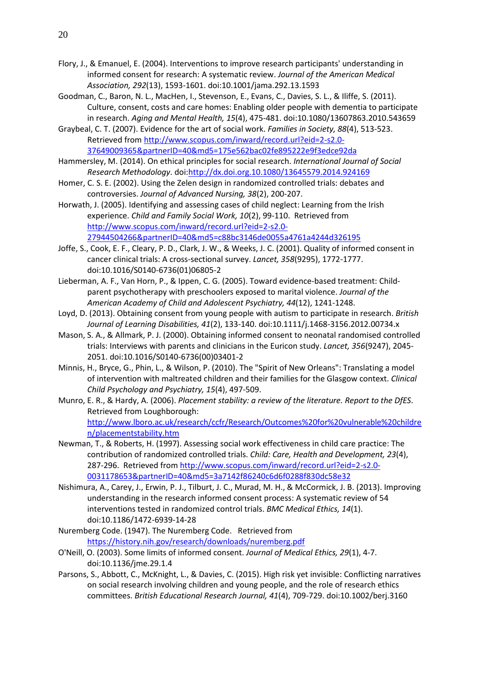- Flory, J., & Emanuel, E. (2004). Interventions to improve research participants' understanding in informed consent for research: A systematic review. *Journal of the American Medical Association, 292*(13), 1593-1601. doi:10.1001/jama.292.13.1593
- Goodman, C., Baron, N. L., MacHen, I., Stevenson, E., Evans, C., Davies, S. L., & Iliffe, S. (2011). Culture, consent, costs and care homes: Enabling older people with dementia to participate in research. *Aging and Mental Health, 15*(4), 475-481. doi:10.1080/13607863.2010.543659
- Graybeal, C. T. (2007). Evidence for the art of social work. *Families in Society, 88*(4), 513-523. Retrieved from [http://www.scopus.com/inward/record.url?eid=2-s2.0-](http://www.scopus.com/inward/record.url?eid=2-s2.0-37649009365&partnerID=40&md5=175e562bac02fe895222e9f3edce92da) [37649009365&partnerID=40&md5=175e562bac02fe895222e9f3edce92da](http://www.scopus.com/inward/record.url?eid=2-s2.0-37649009365&partnerID=40&md5=175e562bac02fe895222e9f3edce92da)
- Hammersley, M. (2014). On ethical principles for social research. *International Journal of Social Research Methodology*. doi[:http://dx.doi.org.10.1080/13645579.2014.924169](http://dx.doi.org.10.1080/13645579.2014.924169)
- Homer, C. S. E. (2002). Using the Zelen design in randomized controlled trials: debates and controversies. *Journal of Advanced Nursing, 38*(2), 200-207.
- Horwath, J. (2005). Identifying and assessing cases of child neglect: Learning from the Irish experience. *Child and Family Social Work, 10*(2), 99-110. Retrieved from [http://www.scopus.com/inward/record.url?eid=2-s2.0-](http://www.scopus.com/inward/record.url?eid=2-s2.0-27944504266&partnerID=40&md5=c88bc3146de0055a4761a4244d326195) [27944504266&partnerID=40&md5=c88bc3146de0055a4761a4244d326195](http://www.scopus.com/inward/record.url?eid=2-s2.0-27944504266&partnerID=40&md5=c88bc3146de0055a4761a4244d326195)
- Joffe, S., Cook, E. F., Cleary, P. D., Clark, J. W., & Weeks, J. C. (2001). Quality of informed consent in cancer clinical trials: A cross-sectional survey. *Lancet, 358*(9295), 1772-1777. doi:10.1016/S0140-6736(01)06805-2
- Lieberman, A. F., Van Horn, P., & Ippen, C. G. (2005). Toward evidence-based treatment: Childparent psychotherapy with preschoolers exposed to marital violence. *Journal of the American Academy of Child and Adolescent Psychiatry, 44*(12), 1241-1248.
- Loyd, D. (2013). Obtaining consent from young people with autism to participate in research. *British Journal of Learning Disabilities, 41*(2), 133-140. doi:10.1111/j.1468-3156.2012.00734.x
- Mason, S. A., & Allmark, P. J. (2000). Obtaining informed consent to neonatal randomised controlled trials: Interviews with parents and clinicians in the Euricon study. *Lancet, 356*(9247), 2045- 2051. doi:10.1016/S0140-6736(00)03401-2
- Minnis, H., Bryce, G., Phin, L., & Wilson, P. (2010). The "Spirit of New Orleans": Translating a model of intervention with maltreated children and their families for the Glasgow context. *Clinical Child Psychology and Psychiatry, 15*(4), 497-509.
- Munro, E. R., & Hardy, A. (2006). *Placement stability: a review of the literature. Report to the DfES*. Retrieved from Loughborough: [http://www.lboro.ac.uk/research/ccfr/Research/Outcomes%20for%20vulnerable%20childre](http://www.lboro.ac.uk/research/ccfr/Research/Outcomes%2520for%2520vulnerable%2520children/placementstability.htm) [n/placementstability.htm](http://www.lboro.ac.uk/research/ccfr/Research/Outcomes%2520for%2520vulnerable%2520children/placementstability.htm)
- Newman, T., & Roberts, H. (1997). Assessing social work effectiveness in child care practice: The contribution of randomized controlled trials. *Child: Care, Health and Development, 23*(4), 287-296. Retrieved from [http://www.scopus.com/inward/record.url?eid=2-s2.0-](http://www.scopus.com/inward/record.url?eid=2-s2.0-0031178653&partnerID=40&md5=3a7142f86240c6d6f0288f830dc58e32) [0031178653&partnerID=40&md5=3a7142f86240c6d6f0288f830dc58e32](http://www.scopus.com/inward/record.url?eid=2-s2.0-0031178653&partnerID=40&md5=3a7142f86240c6d6f0288f830dc58e32)
- Nishimura, A., Carey, J., Erwin, P. J., Tilburt, J. C., Murad, M. H., & McCormick, J. B. (2013). Improving understanding in the research informed consent process: A systematic review of 54 interventions tested in randomized control trials. *BMC Medical Ethics, 14*(1). doi:10.1186/1472-6939-14-28
- Nuremberg Code. (1947). The Nuremberg Code. Retrieved from <https://history.nih.gov/research/downloads/nuremberg.pdf>
- O'Neill, O. (2003). Some limits of informed consent. *Journal of Medical Ethics, 29*(1), 4-7. doi:10.1136/jme.29.1.4
- Parsons, S., Abbott, C., McKnight, L., & Davies, C. (2015). High risk yet invisible: Conflicting narratives on social research involving children and young people, and the role of research ethics committees. *British Educational Research Journal, 41*(4), 709-729. doi:10.1002/berj.3160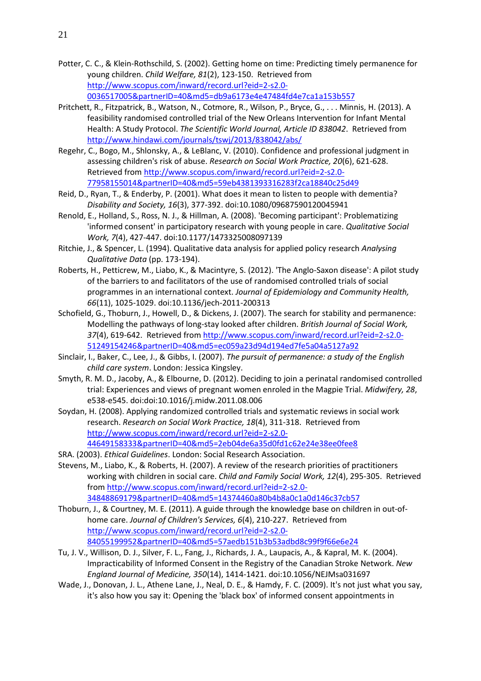- Potter, C. C., & Klein-Rothschild, S. (2002). Getting home on time: Predicting timely permanence for young children. *Child Welfare, 81*(2), 123-150. Retrieved from [http://www.scopus.com/inward/record.url?eid=2-s2.0-](http://www.scopus.com/inward/record.url?eid=2-s2.0-0036517005&partnerID=40&md5=db9a6173e4e47484fd4e7ca1a153b557) [0036517005&partnerID=40&md5=db9a6173e4e47484fd4e7ca1a153b557](http://www.scopus.com/inward/record.url?eid=2-s2.0-0036517005&partnerID=40&md5=db9a6173e4e47484fd4e7ca1a153b557)
- Pritchett, R., Fitzpatrick, B., Watson, N., Cotmore, R., Wilson, P., Bryce, G., . . . Minnis, H. (2013). A feasibility randomised controlled trial of the New Orleans Intervention for Infant Mental Health: A Study Protocol. *The Scientific World Journal, Article ID 838042*. Retrieved from <http://www.hindawi.com/journals/tswj/2013/838042/abs/>
- Regehr, C., Bogo, M., Shlonsky, A., & LeBlanc, V. (2010). Confidence and professional judgment in assessing children's risk of abuse. *Research on Social Work Practice, 20*(6), 621-628. Retrieved from [http://www.scopus.com/inward/record.url?eid=2-s2.0-](http://www.scopus.com/inward/record.url?eid=2-s2.0-77958155014&partnerID=40&md5=59eb4381393316283f2ca18840c25d49) [77958155014&partnerID=40&md5=59eb4381393316283f2ca18840c25d49](http://www.scopus.com/inward/record.url?eid=2-s2.0-77958155014&partnerID=40&md5=59eb4381393316283f2ca18840c25d49)
- Reid, D., Ryan, T., & Enderby, P. (2001). What does it mean to listen to people with dementia? *Disability and Society, 16*(3), 377-392. doi:10.1080/09687590120045941
- Renold, E., Holland, S., Ross, N. J., & Hillman, A. (2008). 'Becoming participant': Problematizing 'informed consent' in participatory research with young people in care. *Qualitative Social Work, 7*(4), 427-447. doi:10.1177/1473325008097139
- Ritchie, J., & Spencer, L. (1994). Qualitative data analysis for applied policy research *Analysing Qualitative Data* (pp. 173-194).
- Roberts, H., Petticrew, M., Liabo, K., & Macintyre, S. (2012). 'The Anglo-Saxon disease': A pilot study of the barriers to and facilitators of the use of randomised controlled trials of social programmes in an international context. *Journal of Epidemiology and Community Health, 66*(11), 1025-1029. doi:10.1136/jech-2011-200313
- Schofield, G., Thoburn, J., Howell, D., & Dickens, J. (2007). The search for stability and permanence: Modelling the pathways of long-stay looked after children. *British Journal of Social Work, 37*(4), 619-642. Retrieved from [http://www.scopus.com/inward/record.url?eid=2-s2.0-](http://www.scopus.com/inward/record.url?eid=2-s2.0-51249154246&partnerID=40&md5=ec059a23d94d194ed7fe5a04a5127a92) [51249154246&partnerID=40&md5=ec059a23d94d194ed7fe5a04a5127a92](http://www.scopus.com/inward/record.url?eid=2-s2.0-51249154246&partnerID=40&md5=ec059a23d94d194ed7fe5a04a5127a92)
- Sinclair, I., Baker, C., Lee, J., & Gibbs, I. (2007). *The pursuit of permanence: a study of the English child care system*. London: Jessica Kingsley.
- Smyth, R. M. D., Jacoby, A., & Elbourne, D. (2012). Deciding to join a perinatal randomised controlled trial: Experiences and views of pregnant women enroled in the Magpie Trial. *Midwifery, 28*, e538-e545. doi:doi:10.1016/j.midw.2011.08.006
- Soydan, H. (2008). Applying randomized controlled trials and systematic reviews in social work research. *Research on Social Work Practice, 18*(4), 311-318. Retrieved from [http://www.scopus.com/inward/record.url?eid=2-s2.0-](http://www.scopus.com/inward/record.url?eid=2-s2.0-44649158333&partnerID=40&md5=2eb04de6a35d0fd1c62e24e38ee0fee8) [44649158333&partnerID=40&md5=2eb04de6a35d0fd1c62e24e38ee0fee8](http://www.scopus.com/inward/record.url?eid=2-s2.0-44649158333&partnerID=40&md5=2eb04de6a35d0fd1c62e24e38ee0fee8)
- SRA. (2003). *Ethical Guidelines*. London: Social Research Association.
- Stevens, M., Liabo, K., & Roberts, H. (2007). A review of the research priorities of practitioners working with children in social care. *Child and Family Social Work, 12*(4), 295-305. Retrieved from [http://www.scopus.com/inward/record.url?eid=2-s2.0-](http://www.scopus.com/inward/record.url?eid=2-s2.0-34848869179&partnerID=40&md5=14374460a80b4b8a0c1a0d146c37cb57) [34848869179&partnerID=40&md5=14374460a80b4b8a0c1a0d146c37cb57](http://www.scopus.com/inward/record.url?eid=2-s2.0-34848869179&partnerID=40&md5=14374460a80b4b8a0c1a0d146c37cb57)
- Thoburn, J., & Courtney, M. E. (2011). A guide through the knowledge base on children in out-ofhome care. *Journal of Children's Services, 6*(4), 210-227. Retrieved from [http://www.scopus.com/inward/record.url?eid=2-s2.0-](http://www.scopus.com/inward/record.url?eid=2-s2.0-84055199952&partnerID=40&md5=57aedb151b3b53adbd8c99f9f66e6e24) [84055199952&partnerID=40&md5=57aedb151b3b53adbd8c99f9f66e6e24](http://www.scopus.com/inward/record.url?eid=2-s2.0-84055199952&partnerID=40&md5=57aedb151b3b53adbd8c99f9f66e6e24)
- Tu, J. V., Willison, D. J., Silver, F. L., Fang, J., Richards, J. A., Laupacis, A., & Kapral, M. K. (2004). Impracticability of Informed Consent in the Registry of the Canadian Stroke Network. *New England Journal of Medicine, 350*(14), 1414-1421. doi:10.1056/NEJMsa031697
- Wade, J., Donovan, J. L., Athene Lane, J., Neal, D. E., & Hamdy, F. C. (2009). It's not just what you say, it's also how you say it: Opening the 'black box' of informed consent appointments in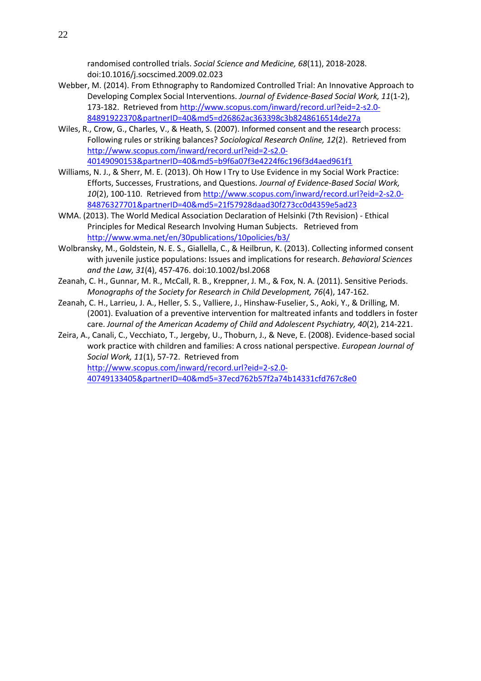randomised controlled trials. *Social Science and Medicine, 68*(11), 2018-2028. doi:10.1016/j.socscimed.2009.02.023

- Webber, M. (2014). From Ethnography to Randomized Controlled Trial: An Innovative Approach to Developing Complex Social Interventions. *Journal of Evidence-Based Social Work, 11*(1-2), 173-182. Retrieved from [http://www.scopus.com/inward/record.url?eid=2-s2.0-](http://www.scopus.com/inward/record.url?eid=2-s2.0-84891922370&partnerID=40&md5=d26862ac363398c3b8248616514de27a) [84891922370&partnerID=40&md5=d26862ac363398c3b8248616514de27a](http://www.scopus.com/inward/record.url?eid=2-s2.0-84891922370&partnerID=40&md5=d26862ac363398c3b8248616514de27a)
- Wiles, R., Crow, G., Charles, V., & Heath, S. (2007). Informed consent and the research process: Following rules or striking balances? *Sociological Research Online, 12*(2). Retrieved from [http://www.scopus.com/inward/record.url?eid=2-s2.0-](http://www.scopus.com/inward/record.url?eid=2-s2.0-40149090153&partnerID=40&md5=b9f6a07f3e4224f6c196f3d4aed961f1) [40149090153&partnerID=40&md5=b9f6a07f3e4224f6c196f3d4aed961f1](http://www.scopus.com/inward/record.url?eid=2-s2.0-40149090153&partnerID=40&md5=b9f6a07f3e4224f6c196f3d4aed961f1)
- Williams, N. J., & Sherr, M. E. (2013). Oh How I Try to Use Evidence in my Social Work Practice: Efforts, Successes, Frustrations, and Questions. *Journal of Evidence-Based Social Work, 10*(2), 100-110. Retrieved from [http://www.scopus.com/inward/record.url?eid=2-s2.0-](http://www.scopus.com/inward/record.url?eid=2-s2.0-84876327701&partnerID=40&md5=21f57928daad30f273cc0d4359e5ad23) [84876327701&partnerID=40&md5=21f57928daad30f273cc0d4359e5ad23](http://www.scopus.com/inward/record.url?eid=2-s2.0-84876327701&partnerID=40&md5=21f57928daad30f273cc0d4359e5ad23)
- WMA. (2013). The World Medical Association Declaration of Helsinki (7th Revision) Ethical Principles for Medical Research Involving Human Subjects. Retrieved from <http://www.wma.net/en/30publications/10policies/b3/>
- Wolbransky, M., Goldstein, N. E. S., Giallella, C., & Heilbrun, K. (2013). Collecting informed consent with juvenile justice populations: Issues and implications for research. *Behavioral Sciences and the Law, 31*(4), 457-476. doi:10.1002/bsl.2068
- Zeanah, C. H., Gunnar, M. R., McCall, R. B., Kreppner, J. M., & Fox, N. A. (2011). Sensitive Periods. *Monographs of the Society for Research in Child Development, 76*(4), 147-162.
- Zeanah, C. H., Larrieu, J. A., Heller, S. S., Valliere, J., Hinshaw-Fuselier, S., Aoki, Y., & Drilling, M. (2001). Evaluation of a preventive intervention for maltreated infants and toddlers in foster care. *Journal of the American Academy of Child and Adolescent Psychiatry, 40*(2), 214-221.

Zeira, A., Canali, C., Vecchiato, T., Jergeby, U., Thoburn, J., & Neve, E. (2008). Evidence-based social work practice with children and families: A cross national perspective. *European Journal of Social Work, 11*(1), 57-72. Retrieved from [http://www.scopus.com/inward/record.url?eid=2-s2.0-](http://www.scopus.com/inward/record.url?eid=2-s2.0-40749133405&partnerID=40&md5=37ecd762b57f2a74b14331cfd767c8e0) [40749133405&partnerID=40&md5=37ecd762b57f2a74b14331cfd767c8e0](http://www.scopus.com/inward/record.url?eid=2-s2.0-40749133405&partnerID=40&md5=37ecd762b57f2a74b14331cfd767c8e0)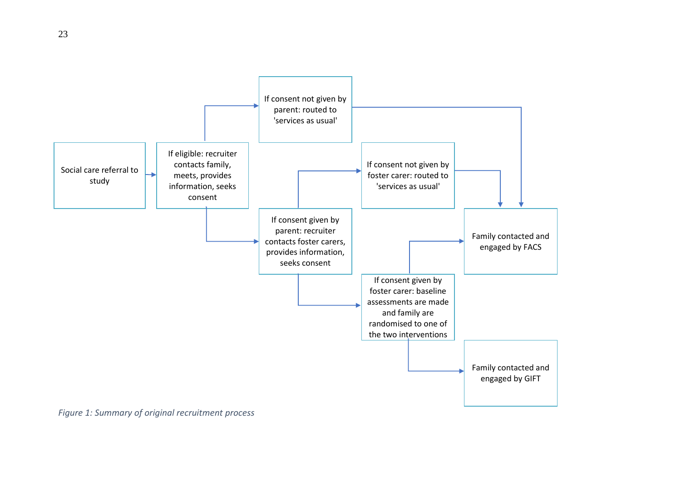

*Figure 1: Summary of original recruitment process*